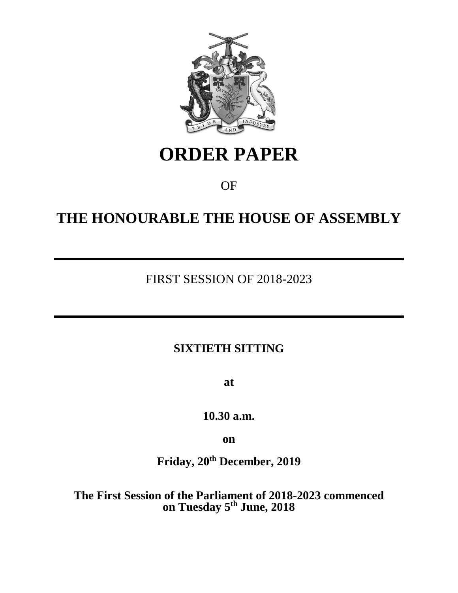

# **ORDER PAPER**

OF

# **THE HONOURABLE THE HOUSE OF ASSEMBLY**

## FIRST SESSION OF 2018-2023

## **SIXTIETH SITTING**

**at**

**10.30 a.m.**

**on**

**Friday, 20th December, 2019**

**The First Session of the Parliament of 2018-2023 commenced on Tuesday 5 th June, 2018**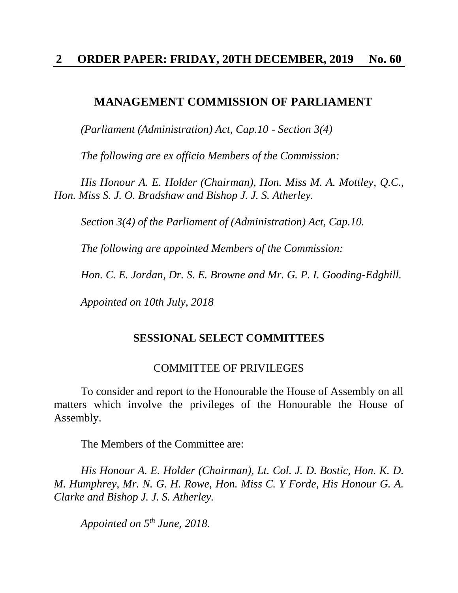#### **MANAGEMENT COMMISSION OF PARLIAMENT**

*(Parliament (Administration) Act, Cap.10 - Section 3(4)*

*The following are ex officio Members of the Commission:* 

*His Honour A. E. Holder (Chairman), Hon. Miss M. A. Mottley, Q.C., Hon. Miss S. J. O. Bradshaw and Bishop J. J. S. Atherley.*

*Section 3(4) of the Parliament of (Administration) Act, Cap.10.*

*The following are appointed Members of the Commission:*

*Hon. C. E. Jordan, Dr. S. E. Browne and Mr. G. P. I. Gooding-Edghill.*

*Appointed on 10th July, 2018*

#### **SESSIONAL SELECT COMMITTEES**

#### COMMITTEE OF PRIVILEGES

To consider and report to the Honourable the House of Assembly on all matters which involve the privileges of the Honourable the House of Assembly.

The Members of the Committee are:

*His Honour A. E. Holder (Chairman), Lt. Col. J. D. Bostic, Hon. K. D. M. Humphrey, Mr. N. G. H. Rowe, Hon. Miss C. Y Forde, His Honour G. A. Clarke and Bishop J. J. S. Atherley.*

*Appointed on 5 th June, 2018.*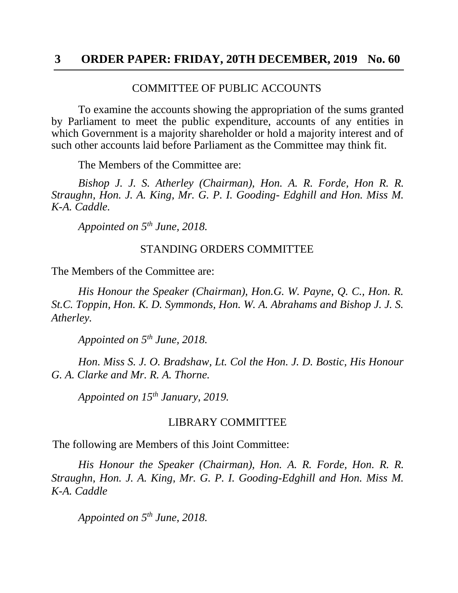#### COMMITTEE OF PUBLIC ACCOUNTS

To examine the accounts showing the appropriation of the sums granted by Parliament to meet the public expenditure, accounts of any entities in which Government is a majority shareholder or hold a majority interest and of such other accounts laid before Parliament as the Committee may think fit.

The Members of the Committee are:

*Bishop J. J. S. Atherley (Chairman), Hon. A. R. Forde, Hon R. R. Straughn, Hon. J. A. King, Mr. G. P. I. Gooding- Edghill and Hon. Miss M. K-A. Caddle.*

*Appointed on 5th June, 2018.*

#### STANDING ORDERS COMMITTEE

The Members of the Committee are:

*His Honour the Speaker (Chairman), Hon.G. W. Payne, Q. C., Hon. R. St.C. Toppin, Hon. K. D. Symmonds, Hon. W. A. Abrahams and Bishop J. J. S. Atherley.*

*Appointed on 5th June, 2018.*

*Hon. Miss S. J. O. Bradshaw, Lt. Col the Hon. J. D. Bostic, His Honour G. A. Clarke and Mr. R. A. Thorne.*

*Appointed on 15th January, 2019.*

#### LIBRARY COMMITTEE

The following are Members of this Joint Committee:

*His Honour the Speaker (Chairman), Hon. A. R. Forde, Hon. R. R. Straughn, Hon. J. A. King, Mr. G. P. I. Gooding-Edghill and Hon. Miss M. K-A. Caddle*

*Appointed on 5 th June, 2018.*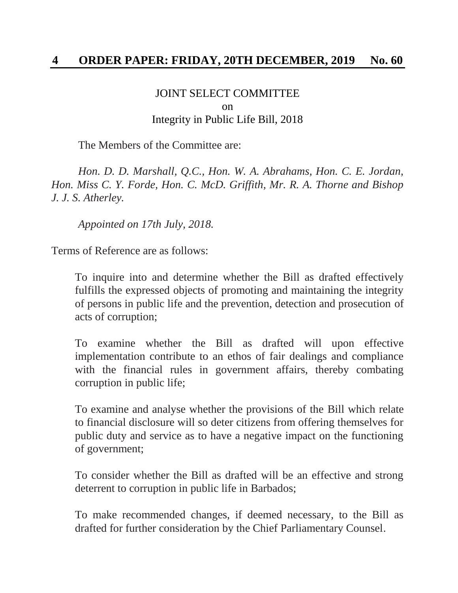### JOINT SELECT COMMITTEE on Integrity in Public Life Bill, 2018

The Members of the Committee are:

*Hon. D. D. Marshall, Q.C., Hon. W. A. Abrahams, Hon. C. E. Jordan, Hon. Miss C. Y. Forde, Hon. C. McD. Griffith, Mr. R. A. Thorne and Bishop J. J. S. Atherley.*

*Appointed on 17th July, 2018.*

Terms of Reference are as follows:

To inquire into and determine whether the Bill as drafted effectively fulfills the expressed objects of promoting and maintaining the integrity of persons in public life and the prevention, detection and prosecution of acts of corruption;

To examine whether the Bill as drafted will upon effective implementation contribute to an ethos of fair dealings and compliance with the financial rules in government affairs, thereby combating corruption in public life;

To examine and analyse whether the provisions of the Bill which relate to financial disclosure will so deter citizens from offering themselves for public duty and service as to have a negative impact on the functioning of government;

To consider whether the Bill as drafted will be an effective and strong deterrent to corruption in public life in Barbados;

To make recommended changes, if deemed necessary, to the Bill as drafted for further consideration by the Chief Parliamentary Counsel.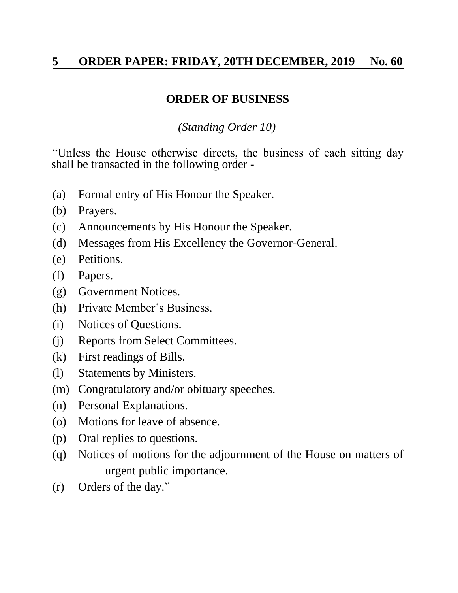## **ORDER OF BUSINESS**

*(Standing Order 10)*

"Unless the House otherwise directs, the business of each sitting day shall be transacted in the following order -

- (a) Formal entry of His Honour the Speaker.
- (b) Prayers.
- (c) Announcements by His Honour the Speaker.
- (d) Messages from His Excellency the Governor-General.
- (e) Petitions.
- (f) Papers.
- (g) Government Notices.
- (h) Private Member's Business.
- (i) Notices of Questions.
- (j) Reports from Select Committees.
- (k) First readings of Bills.
- (l) Statements by Ministers.
- (m) Congratulatory and/or obituary speeches.
- (n) Personal Explanations.
- (o) Motions for leave of absence.
- (p) Oral replies to questions.
- (q) Notices of motions for the adjournment of the House on matters of urgent public importance.
- (r) Orders of the day."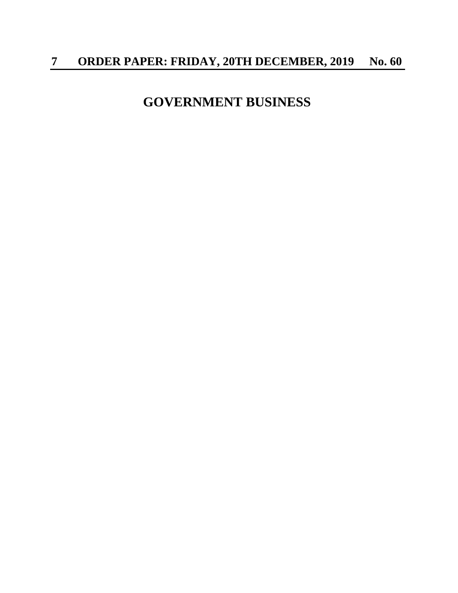# **GOVERNMENT BUSINESS**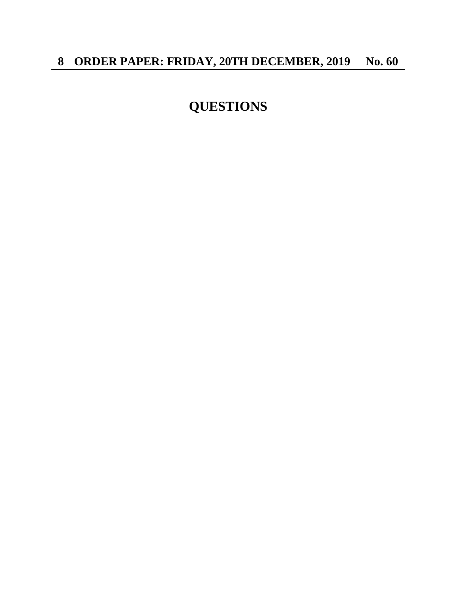# **QUESTIONS**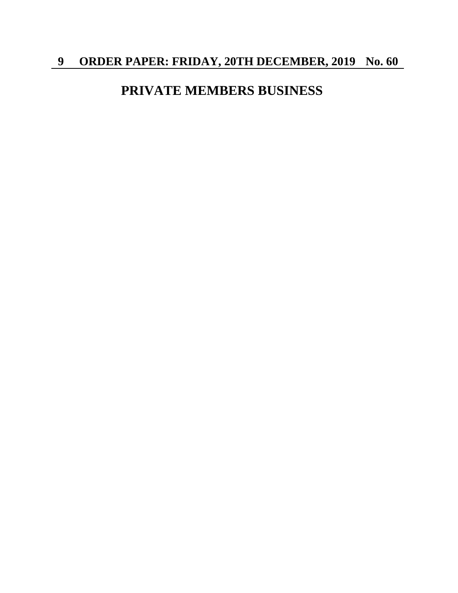## **PRIVATE MEMBERS BUSINESS**